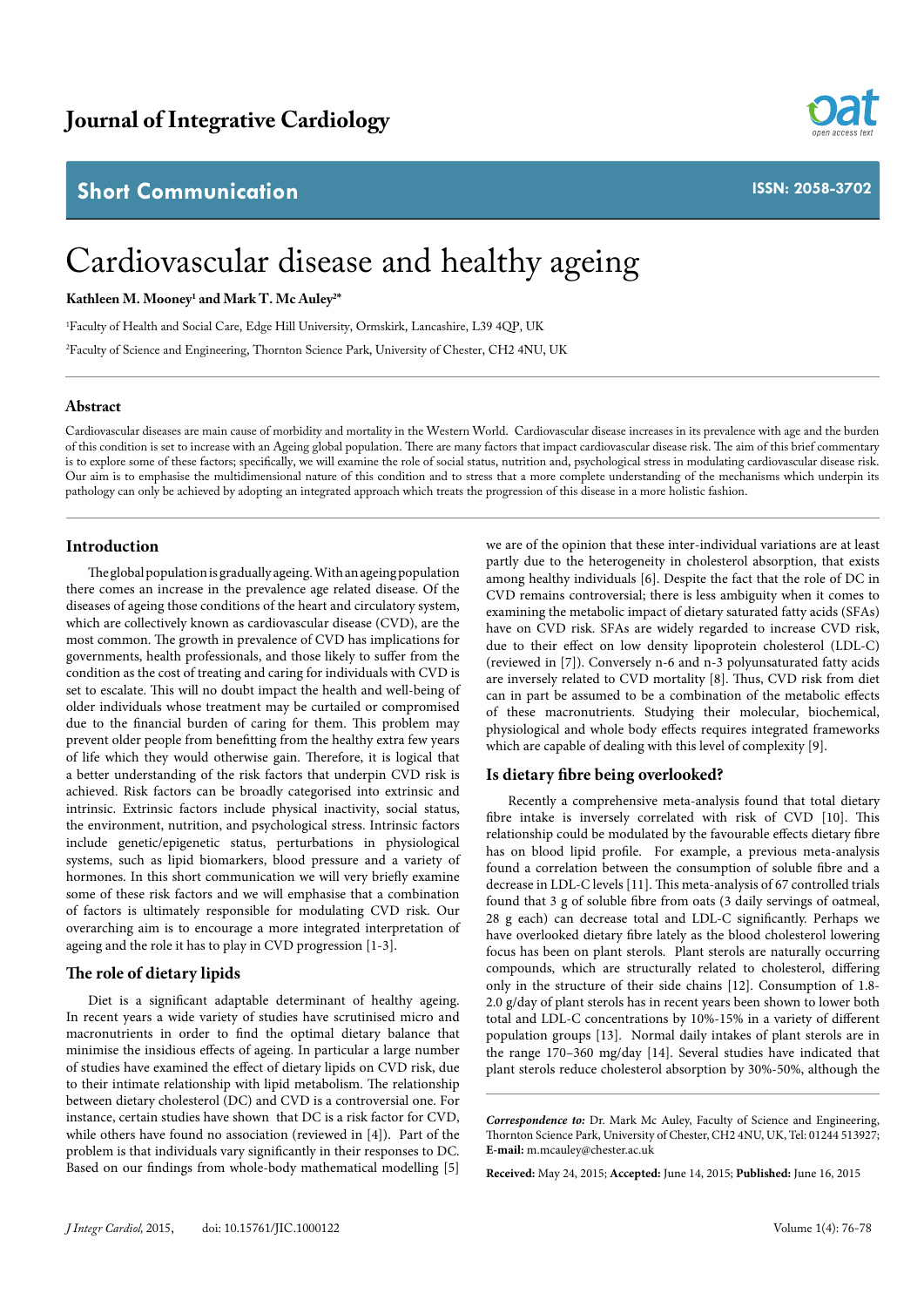# **Short Communication**



**ISSN: 2058-3702**

# Cardiovascular disease and healthy ageing

**Kathleen M. Mooney1 and Mark T. Mc Auley2 \***

1 Faculty of Health and Social Care, Edge Hill University, Ormskirk, Lancashire, L39 4QP, UK

2 Faculty of Science and Engineering, Thornton Science Park, University of Chester, CH2 4NU, UK

# **Abstract**

Cardiovascular diseases are main cause of morbidity and mortality in the Western World. Cardiovascular disease increases in its prevalence with age and the burden of this condition is set to increase with an Ageing global population. There are many factors that impact cardiovascular disease risk. The aim of this brief commentary is to explore some of these factors; specifically, we will examine the role of social status, nutrition and, psychological stress in modulating cardiovascular disease risk. Our aim is to emphasise the multidimensional nature of this condition and to stress that a more complete understanding of the mechanisms which underpin its pathology can only be achieved by adopting an integrated approach which treats the progression of this disease in a more holistic fashion.

# **Introduction**

The global population is gradually ageing. With an ageing population there comes an increase in the prevalence age related disease. Of the diseases of ageing those conditions of the heart and circulatory system, which are collectively known as cardiovascular disease (CVD), are the most common. The growth in prevalence of CVD has implications for governments, health professionals, and those likely to suffer from the condition as the cost of treating and caring for individuals with CVD is set to escalate. This will no doubt impact the health and well-being of older individuals whose treatment may be curtailed or compromised due to the financial burden of caring for them. This problem may prevent older people from benefitting from the healthy extra few years of life which they would otherwise gain. Therefore, it is logical that a better understanding of the risk factors that underpin CVD risk is achieved. Risk factors can be broadly categorised into extrinsic and intrinsic. Extrinsic factors include physical inactivity, social status, the environment, nutrition, and psychological stress. Intrinsic factors include genetic/epigenetic status, perturbations in physiological systems, such as lipid biomarkers, blood pressure and a variety of hormones. In this short communication we will very briefly examine some of these risk factors and we will emphasise that a combination of factors is ultimately responsible for modulating CVD risk. Our overarching aim is to encourage a more integrated interpretation of ageing and the role it has to play in CVD progression [1-3].

# **The role of dietary lipids**

Diet is a significant adaptable determinant of healthy ageing. In recent years a wide variety of studies have scrutinised micro and macronutrients in order to find the optimal dietary balance that minimise the insidious effects of ageing. In particular a large number of studies have examined the effect of dietary lipids on CVD risk, due to their intimate relationship with lipid metabolism. The relationship between dietary cholesterol (DC) and CVD is a controversial one. For instance, certain studies have shown that DC is a risk factor for CVD, while others have found no association (reviewed in [4]). Part of the problem is that individuals vary significantly in their responses to DC. Based on our findings from whole-body mathematical modelling [5]

we are of the opinion that these inter-individual variations are at least partly due to the heterogeneity in cholesterol absorption, that exists among healthy individuals [6]. Despite the fact that the role of DC in CVD remains controversial; there is less ambiguity when it comes to examining the metabolic impact of dietary saturated fatty acids (SFAs) have on CVD risk. SFAs are widely regarded to increase CVD risk, due to their effect on low density lipoprotein cholesterol (LDL-C) (reviewed in [7]). Conversely n-6 and n-3 polyunsaturated fatty acids are inversely related to CVD mortality [8]. Thus, CVD risk from diet can in part be assumed to be a combination of the metabolic effects of these macronutrients. Studying their molecular, biochemical, physiological and whole body effects requires integrated frameworks which are capable of dealing with this level of complexity [9].

# **Is dietary fibre being overlooked?**

Recently a comprehensive meta-analysis found that total dietary fibre intake is inversely correlated with risk of CVD [10]. This relationship could be modulated by the favourable effects dietary fibre has on blood lipid profile. For example, a previous meta-analysis found a correlation between the consumption of soluble fibre and a decrease in LDL-C levels [11]. This meta-analysis of 67 controlled trials found that 3 g of soluble fibre from oats (3 daily servings of oatmeal, 28 g each) can decrease total and LDL-C significantly. Perhaps we have overlooked dietary fibre lately as the blood cholesterol lowering focus has been on plant sterols. Plant sterols are naturally occurring compounds, which are structurally related to cholesterol, differing only in the structure of their side chains [12]. Consumption of 1.8- 2.0 g/day of plant sterols has in recent years been shown to lower both total and LDL-C concentrations by 10%-15% in a variety of different population groups [13]. Normal daily intakes of plant sterols are in the range 170–360 mg/day [14]. Several studies have indicated that plant sterols reduce cholesterol absorption by 30%-50%, although the

*Correspondence to:* Dr. Mark Mc Auley, Faculty of Science and Engineering, Thornton Science Park, University of Chester, CH2 4NU, UK, Tel: 01244 513927; **E-mail:** m.mcauley@chester.ac.uk

**Received:** May 24, 2015; **Accepted:** June 14, 2015; **Published:** June 16, 2015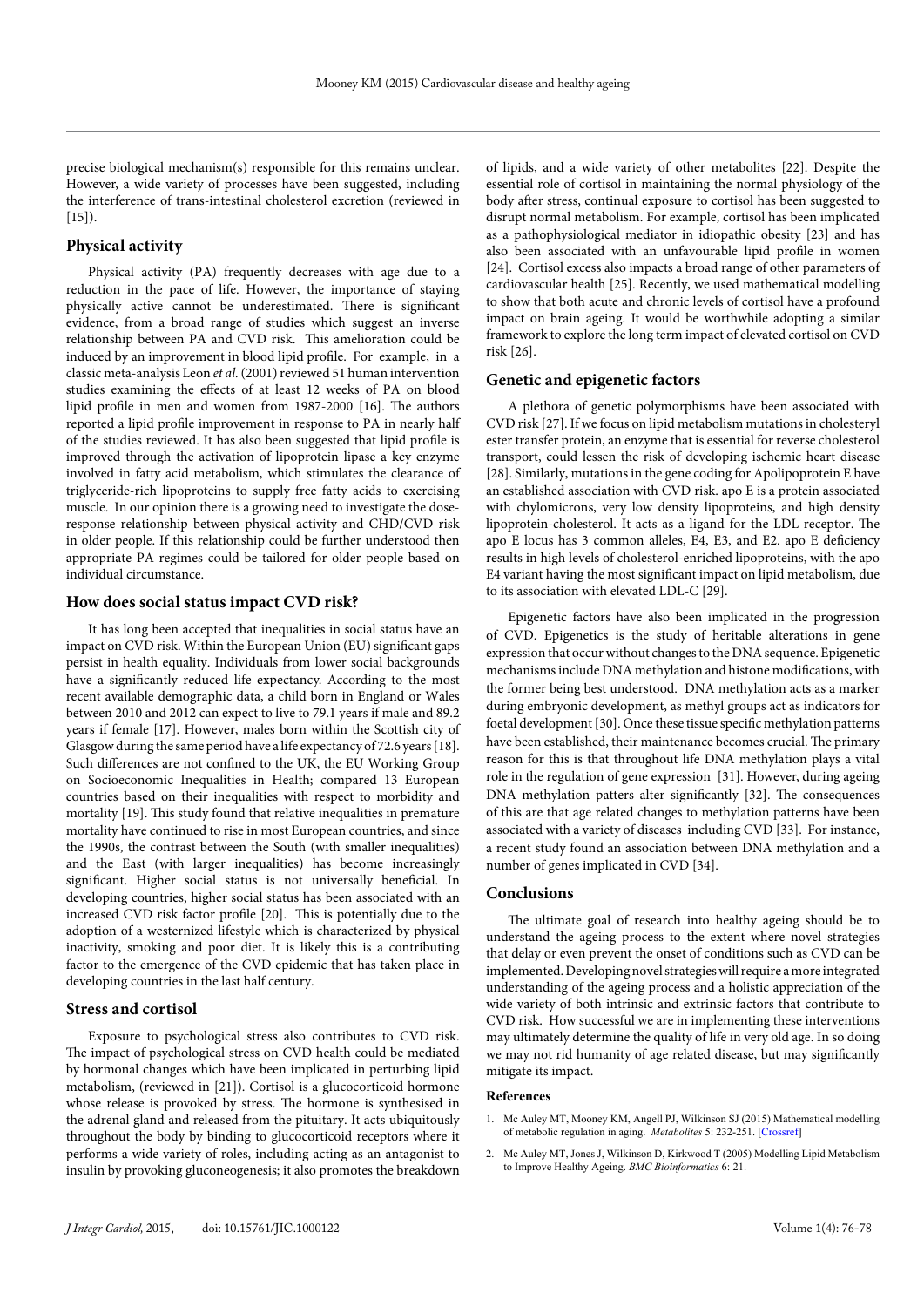precise biological mechanism(s) responsible for this remains unclear. However, a wide variety of processes have been suggested, including the interference of trans-intestinal cholesterol excretion (reviewed in  $[15]$ .

#### **Physical activity**

Physical activity (PA) frequently decreases with age due to a reduction in the pace of life. However, the importance of staying physically active cannot be underestimated. There is significant evidence, from a broad range of studies which suggest an inverse relationship between PA and CVD risk. This amelioration could be induced by an improvement in blood lipid profile. For example, in a classic meta-analysis Leon *et al.* (2001) reviewed 51 human intervention studies examining the effects of at least 12 weeks of PA on blood lipid profile in men and women from 1987-2000 [16]. The authors reported a lipid profile improvement in response to PA in nearly half of the studies reviewed. It has also been suggested that lipid profile is improved through the activation of lipoprotein lipase a key enzyme involved in fatty acid metabolism, which stimulates the clearance of triglyceride-rich lipoproteins to supply free fatty acids to exercising muscle. In our opinion there is a growing need to investigate the doseresponse relationship between physical activity and CHD/CVD risk in older people. If this relationship could be further understood then appropriate PA regimes could be tailored for older people based on individual circumstance.

#### **How does social status impact CVD risk?**

It has long been accepted that inequalities in social status have an impact on CVD risk. Within the European Union (EU) significant gaps persist in health equality. Individuals from lower social backgrounds have a significantly reduced life expectancy. According to the most recent available demographic data, a child born in England or Wales between 2010 and 2012 can expect to live to 79.1 years if male and 89.2 years if female [17]. However, males born within the Scottish city of Glasgow during the same period have a life expectancy of 72.6 years [18]. Such differences are not confined to the UK, the EU Working Group on Socioeconomic Inequalities in Health; compared 13 European countries based on their inequalities with respect to morbidity and mortality [19]. This study found that relative inequalities in premature mortality have continued to rise in most European countries, and since the 1990s, the contrast between the South (with smaller inequalities) and the East (with larger inequalities) has become increasingly significant. Higher social status is not universally beneficial. In developing countries, higher social status has been associated with an increased CVD risk factor profile [20]. This is potentially due to the adoption of a westernized lifestyle which is characterized by physical inactivity, smoking and poor diet. It is likely this is a contributing factor to the emergence of the CVD epidemic that has taken place in developing countries in the last half century.

#### **Stress and cortisol**

Exposure to psychological stress also contributes to CVD risk. The impact of psychological stress on CVD health could be mediated by hormonal changes which have been implicated in perturbing lipid metabolism, (reviewed in [21]). Cortisol is a glucocorticoid hormone whose release is provoked by stress. The hormone is synthesised in the adrenal gland and released from the pituitary. It acts ubiquitously throughout the body by binding to glucocorticoid receptors where it performs a wide variety of roles, including acting as an antagonist to insulin by provoking gluconeogenesis; it also promotes the breakdown

of lipids, and a wide variety of other metabolites [22]. Despite the essential role of cortisol in maintaining the normal physiology of the body after stress, continual exposure to cortisol has been suggested to disrupt normal metabolism. For example, cortisol has been implicated as a pathophysiological mediator in idiopathic obesity [23] and has also been associated with an unfavourable lipid profile in women [24]. Cortisol excess also impacts a broad range of other parameters of cardiovascular health [25]. Recently, we used mathematical modelling to show that both acute and chronic levels of cortisol have a profound impact on brain ageing. It would be worthwhile adopting a similar framework to explore the long term impact of elevated cortisol on CVD risk [26].

#### **Genetic and epigenetic factors**

A plethora of genetic polymorphisms have been associated with CVD risk [27]. If we focus on lipid metabolism mutations in cholesteryl ester transfer protein, an enzyme that is essential for reverse cholesterol transport, could lessen the risk of developing ischemic heart disease [28]. Similarly, mutations in the gene coding for Apolipoprotein E have an established association with CVD risk. apo E is a protein associated with chylomicrons, very low density lipoproteins, and high density lipoprotein-cholesterol. It acts as a ligand for the LDL receptor. The apo E locus has 3 common alleles, E4, E3, and E2. apo E deficiency results in high levels of cholesterol-enriched lipoproteins, with the apo E4 variant having the most significant impact on lipid metabolism, due to its association with elevated LDL-C [29].

Epigenetic factors have also been implicated in the progression of CVD. Epigenetics is the study of heritable alterations in gene expression that occur without changes to the DNA sequence. Epigenetic mechanisms include DNA methylation and histone modifications, with the former being best understood. DNA methylation acts as a marker during embryonic development, as methyl groups act as indicators for foetal development [30]. Once these tissue specific methylation patterns have been established, their maintenance becomes crucial. The primary reason for this is that throughout life DNA methylation plays a vital role in the regulation of gene expression [31]. However, during ageing DNA methylation patters alter significantly [32]. The consequences of this are that age related changes to methylation patterns have been associated with a variety of diseases including CVD [33]. For instance, a recent study found an association between DNA methylation and a number of genes implicated in CVD [34].

#### **Conclusions**

The ultimate goal of research into healthy ageing should be to understand the ageing process to the extent where novel strategies that delay or even prevent the onset of conditions such as CVD can be implemented. Developing novel strategies will require a more integrated understanding of the ageing process and a holistic appreciation of the wide variety of both intrinsic and extrinsic factors that contribute to CVD risk. How successful we are in implementing these interventions may ultimately determine the quality of life in very old age. In so doing we may not rid humanity of age related disease, but may significantly mitigate its impact.

#### **References**

- Mc Auley MT, Mooney KM, Angell PJ, Wilkinson SJ (2015) Mathematical modelling of metabolic regulation in aging. *Metabolites* 5: 232-251. [[Crossref](http://www.ncbi.nlm.nih.gov/pubmed/25923415)]
- 2. Mc Auley MT, Jones J, Wilkinson D, Kirkwood T (2005) Modelling Lipid Metabolism to Improve Healthy Ageing. *BMC Bioinformatics* 6: 21.